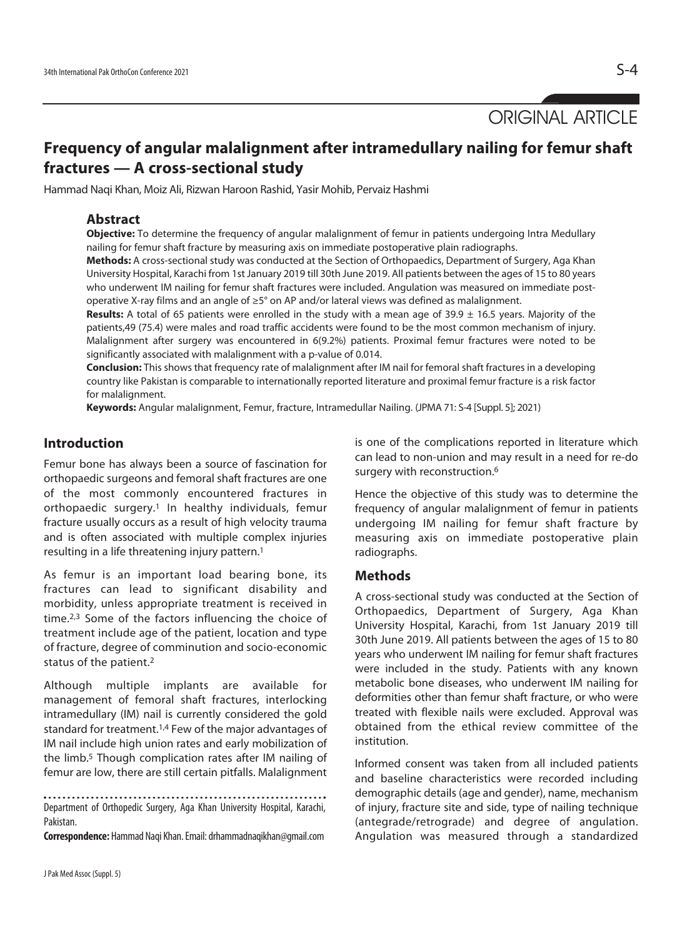ORIGINAL ARTICLE

# **Frequency of angular malalignment after intramedullary nailing for femur shaft fractures — A cross-sectional study**

Hammad Naqi Khan, Moiz Ali, Rizwan Haroon Rashid, Yasir Mohib, Pervaiz Hashmi

# **Abstract**

**Objective:** To determine the frequency of angular malalignment of femur in patients undergoing Intra Medullary nailing for femur shaft fracture by measuring axis on immediate postoperative plain radiographs.

**Methods:** A cross-sectional study was conducted at the Section of Orthopaedics, Department of Surgery, Aga Khan University Hospital, Karachi from 1st January 2019 till 30th June 2019. All patients between the ages of 15 to 80 years who underwent IM nailing for femur shaft fractures were included. Angulation was measured on immediate postoperative X-ray films and an angle of ≥5° on AP and/or lateral views was defined as malalignment.

**Results:** A total of 65 patients were enrolled in the study with a mean age of 39.9 ± 16.5 years. Majority of the patients,49 (75.4) were males and road traffic accidents were found to be the most common mechanism of injury. Malalignment after surgery was encountered in 6(9.2%) patients. Proximal femur fractures were noted to be significantly associated with malalignment with a p-value of 0.014.

**Conclusion:** This shows that frequency rate of malalignment after IM nail for femoral shaft fractures in a developing country like Pakistan is comparable to internationally reported literature and proximal femur fracture is a risk factor for malalignment.

**Keywords:** Angular malalignment, Femur, fracture, Intramedullar Nailing. (JPMA 71: S-4 [Suppl. 5]; 2021)

# **Introduction**

Femur bone has always been a source of fascination for orthopaedic surgeons and femoral shaft fractures are one of the most commonly encountered fractures in orthopaedic surgery.<sup>1</sup> In healthy individuals, femur fracture usually occurs as a result of high velocity trauma and is often associated with multiple complex injuries resulting in a life threatening injury pattern.1

As femur is an important load bearing bone, its fractures can lead to significant disability and morbidity, unless appropriate treatment is received in time.2,3 Some of the factors influencing the choice of treatment include age of the patient, location and type of fracture, degree of comminution and socio-economic status of the patient.2

Although multiple implants are available for management of femoral shaft fractures, interlocking intramedullary (IM) nail is currently considered the gold standard for treatment.1,4 Few of the major advantages of IM nail include high union rates and early mobilization of the limb.5 Though complication rates after IM nailing of femur are low, there are still certain pitfalls. Malalignment

Department of Orthopedic Surgery, Aga Khan University Hospital, Karachi, Pakistan.

**Correspondence:** Hammad Naqi Khan. Email: drhammadnaqikhan@gmail.com

is one of the complications reported in literature which can lead to non-union and may result in a need for re-do surgery with reconstruction.<sup>6</sup>

Hence the objective of this study was to determine the frequency of angular malalignment of femur in patients undergoing IM nailing for femur shaft fracture by measuring axis on immediate postoperative plain radiographs.

## **Methods**

A cross-sectional study was conducted at the Section of Orthopaedics, Department of Surgery, Aga Khan University Hospital, Karachi, from 1st January 2019 till 30th June 2019. All patients between the ages of 15 to 80 years who underwent IM nailing for femur shaft fractures were included in the study. Patients with any known metabolic bone diseases, who underwent IM nailing for deformities other than femur shaft fracture, or who were treated with flexible nails were excluded. Approval was obtained from the ethical review committee of the institution.

Informed consent was taken from all included patients and baseline characteristics were recorded including demographic details (age and gender), name, mechanism of injury, fracture site and side, type of nailing technique (antegrade/retrograde) and degree of angulation. Angulation was measured through a standardized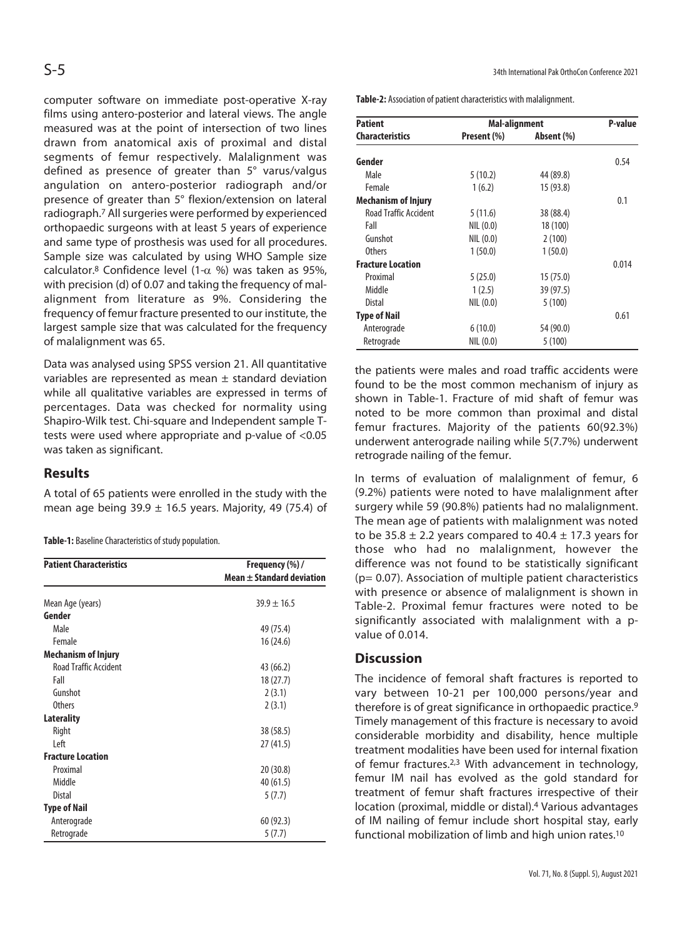computer software on immediate post-operative X-ray films using antero-posterior and lateral views. The angle measured was at the point of intersection of two lines drawn from anatomical axis of proximal and distal segments of femur respectively. Malalignment was defined as presence of greater than 5° varus/valgus angulation on antero-posterior radiograph and/or presence of greater than 5° flexion/extension on lateral radiograph.7 All surgeries were performed by experienced orthopaedic surgeons with at least 5 years of experience and same type of prosthesis was used for all procedures. Sample size was calculated by using WHO Sample size calculator.<sup>8</sup> Confidence level (1- $\alpha$  %) was taken as 95%, with precision (d) of 0.07 and taking the frequency of malalignment from literature as 9%. Considering the frequency of femur fracture presented to our institute, the largest sample size that was calculated for the frequency of malalignment was 65.

Data was analysed using SPSS version 21. All quantitative variables are represented as mean  $\pm$  standard deviation while all qualitative variables are expressed in terms of percentages. Data was checked for normality using Shapiro-Wilk test. Chi-square and Independent sample Ttests were used where appropriate and p-value of <0.05 was taken as significant.

# **Results**

A total of 65 patients were enrolled in the study with the mean age being 39.9  $\pm$  16.5 years. Majority, 49 (75.4) of

**Table-1:** Baseline Characteristics of study population.

| <b>Patient Characteristics</b> | Frequency (%) /<br>Mean $\pm$ Standard deviation |  |
|--------------------------------|--------------------------------------------------|--|
|                                |                                                  |  |
| Mean Age (years)               | $39.9 \pm 16.5$                                  |  |
| Gender                         |                                                  |  |
| Male                           | 49 (75.4)                                        |  |
| Female                         | 16 (24.6)                                        |  |
| <b>Mechanism of Injury</b>     |                                                  |  |
| <b>Road Traffic Accident</b>   | 43 (66.2)                                        |  |
| Fall                           | 18(27.7)                                         |  |
| Gunshot                        | 2(3.1)                                           |  |
| <b>Others</b>                  | 2(3.1)                                           |  |
| Laterality                     |                                                  |  |
| Right                          | 38 (58.5)                                        |  |
| l eft                          | 27 (41.5)                                        |  |
| <b>Fracture Location</b>       |                                                  |  |
| Proximal                       | 20 (30.8)                                        |  |
| Middle                         | 40 (61.5)                                        |  |
| Distal                         | 5(7.7)                                           |  |
| <b>Type of Nail</b>            |                                                  |  |
| Anterograde                    | 60(92.3)                                         |  |
| Retrograde                     | 5(7.7)                                           |  |

**Table-2:** Association of patient characteristics with malalignment.

| <b>Patient</b>               | <b>Mal-alignment</b> |            | P-value |
|------------------------------|----------------------|------------|---------|
| <b>Characteristics</b>       | Present (%)          | Absent (%) |         |
| Gender                       |                      |            | 0.54    |
| Male                         | 5(10.2)              | 44 (89.8)  |         |
| Female                       | 1(6.2)               | 15(93.8)   |         |
| <b>Mechanism of Injury</b>   |                      |            | 0.1     |
| <b>Road Traffic Accident</b> | 5(11.6)              | 38 (88.4)  |         |
| Fall                         | NIL(0.0)             | 18 (100)   |         |
| Gunshot                      | NIL(0.0)             | 2(100)     |         |
| <b>Others</b>                | 1(50.0)              | 1(50.0)    |         |
| <b>Fracture Location</b>     |                      |            | 0.014   |
| Proximal                     | 5(25.0)              | 15(75.0)   |         |
| Middle                       | 1(2.5)               | 39 (97.5)  |         |
| Distal                       | NIL(0.0)             | 5(100)     |         |
| <b>Type of Nail</b>          |                      |            | 0.61    |
| Anterograde                  | 6(10.0)              | 54 (90.0)  |         |
| Retrograde                   | NIL(0.0)             | 5(100)     |         |

the patients were males and road traffic accidents were found to be the most common mechanism of injury as shown in Table-1. Fracture of mid shaft of femur was noted to be more common than proximal and distal femur fractures. Majority of the patients 60(92.3%) underwent anterograde nailing while 5(7.7%) underwent retrograde nailing of the femur.

In terms of evaluation of malalignment of femur, 6 (9.2%) patients were noted to have malalignment after surgery while 59 (90.8%) patients had no malalignment. The mean age of patients with malalignment was noted to be  $35.8 \pm 2.2$  years compared to  $40.4 \pm 17.3$  years for those who had no malalignment, however the difference was not found to be statistically significant (p= 0.07). Association of multiple patient characteristics with presence or absence of malalignment is shown in Table-2. Proximal femur fractures were noted to be significantly associated with malalignment with a pvalue of 0.014.

# **Discussion**

The incidence of femoral shaft fractures is reported to vary between 10-21 per 100,000 persons/year and therefore is of great significance in orthopaedic practice.9 Timely management of this fracture is necessary to avoid considerable morbidity and disability, hence multiple treatment modalities have been used for internal fixation of femur fractures.2,3 With advancement in technology, femur IM nail has evolved as the gold standard for treatment of femur shaft fractures irrespective of their location (proximal, middle or distal).4 Various advantages of IM nailing of femur include short hospital stay, early functional mobilization of limb and high union rates.10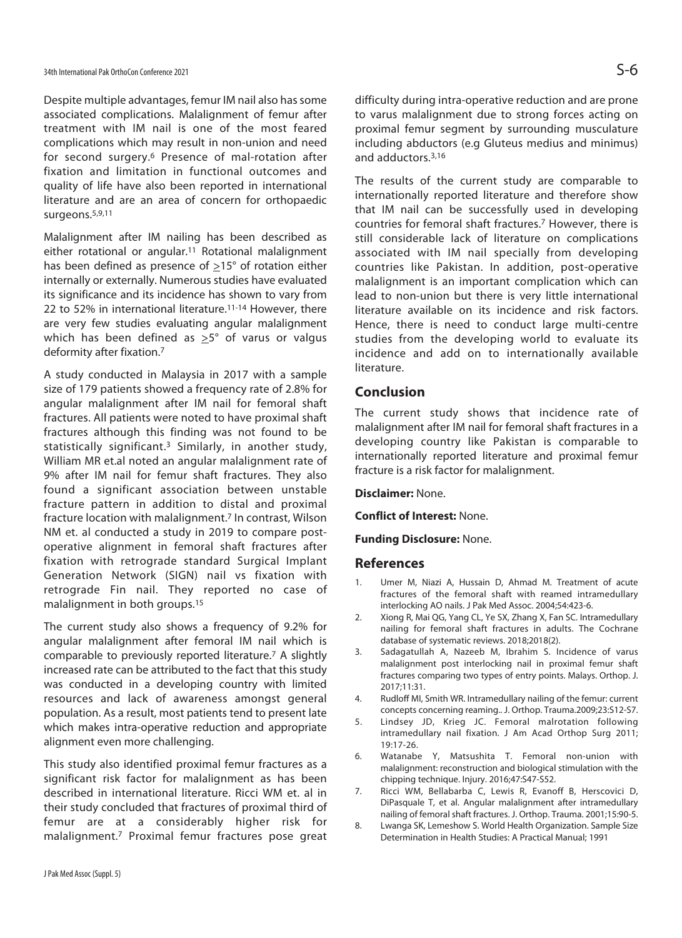Despite multiple advantages, femur IM nail also has some associated complications. Malalignment of femur after treatment with IM nail is one of the most feared complications which may result in non-union and need for second surgery.6 Presence of mal-rotation after fixation and limitation in functional outcomes and quality of life have also been reported in international literature and are an area of concern for orthopaedic surgeons.5,9,11

Malalignment after IM nailing has been described as either rotational or angular.<sup>11</sup> Rotational malalignment has been defined as presence of >15° of rotation either internally or externally. Numerous studies have evaluated its significance and its incidence has shown to vary from 22 to 52% in international literature.11-14 However, there are very few studies evaluating angular malalignment which has been defined as  $\geq 5^{\circ}$  of varus or valgus deformity after fixation.7

A study conducted in Malaysia in 2017 with a sample size of 179 patients showed a frequency rate of 2.8% for angular malalignment after IM nail for femoral shaft fractures. All patients were noted to have proximal shaft fractures although this finding was not found to be statistically significant.3 Similarly, in another study, William MR et.al noted an angular malalignment rate of 9% after IM nail for femur shaft fractures. They also found a significant association between unstable fracture pattern in addition to distal and proximal fracture location with malalignment.7 In contrast, Wilson NM et. al conducted a study in 2019 to compare postoperative alignment in femoral shaft fractures after fixation with retrograde standard Surgical Implant Generation Network (SIGN) nail vs fixation with retrograde Fin nail. They reported no case of malalignment in both groups.15

The current study also shows a frequency of 9.2% for angular malalignment after femoral IM nail which is comparable to previously reported literature.7 A slightly increased rate can be attributed to the fact that this study was conducted in a developing country with limited resources and lack of awareness amongst general population. As a result, most patients tend to present late which makes intra-operative reduction and appropriate alignment even more challenging.

This study also identified proximal femur fractures as a significant risk factor for malalignment as has been described in international literature. Ricci WM et. al in their study concluded that fractures of proximal third of femur are at a considerably higher risk for malalignment.7 Proximal femur fractures pose great difficulty during intra-operative reduction and are prone to varus malalignment due to strong forces acting on proximal femur segment by surrounding musculature including abductors (e.g Gluteus medius and minimus) and adductors.3,16

The results of the current study are comparable to internationally reported literature and therefore show that IM nail can be successfully used in developing countries for femoral shaft fractures.7 However, there is still considerable lack of literature on complications associated with IM nail specially from developing countries like Pakistan. In addition, post-operative malalignment is an important complication which can lead to non-union but there is very little international literature available on its incidence and risk factors. Hence, there is need to conduct large multi-centre studies from the developing world to evaluate its incidence and add on to internationally available literature.

### **Conclusion**

The current study shows that incidence rate of malalignment after IM nail for femoral shaft fractures in a developing country like Pakistan is comparable to internationally reported literature and proximal femur fracture is a risk factor for malalignment.

#### **Disclaimer:** None.

**Conflict of Interest:** None.

#### **Funding Disclosure:** None.

#### **References**

- 1. Umer M, Niazi A, Hussain D, Ahmad M. Treatment of acute fractures of the femoral shaft with reamed intramedullary interlocking AO nails. J Pak Med Assoc. 2004;54:423-6.
- 2. Xiong R, Mai QG, Yang CL, Ye SX, Zhang X, Fan SC. Intramedullary nailing for femoral shaft fractures in adults. The Cochrane database of systematic reviews. 2018;2018(2).
- 3. Sadagatullah A, Nazeeb M, Ibrahim S. Incidence of varus malalignment post interlocking nail in proximal femur shaft fractures comparing two types of entry points. Malays. Orthop. J. 2017;11:31.
- 4. Rudloff MI, Smith WR. Intramedullary nailing of the femur: current concepts concerning reaming.. J. Orthop. Trauma.2009;23:S12-S7.
- 5. Lindsey JD, Krieg JC. Femoral malrotation following intramedullary nail fixation. J Am Acad Orthop Surg 2011; 19:17-26.
- 6. Watanabe Y, Matsushita T. Femoral non-union with malalignment: reconstruction and biological stimulation with the chipping technique. Injury. 2016;47:S47-S52.
- 7. Ricci WM, Bellabarba C, Lewis R, Evanoff B, Herscovici D, DiPasquale T, et al. Angular malalignment after intramedullary nailing of femoral shaft fractures. J. Orthop. Trauma. 2001;15:90-5.
- 8. Lwanga SK, Lemeshow S. World Health Organization. Sample Size Determination in Health Studies: A Practical Manual; 1991